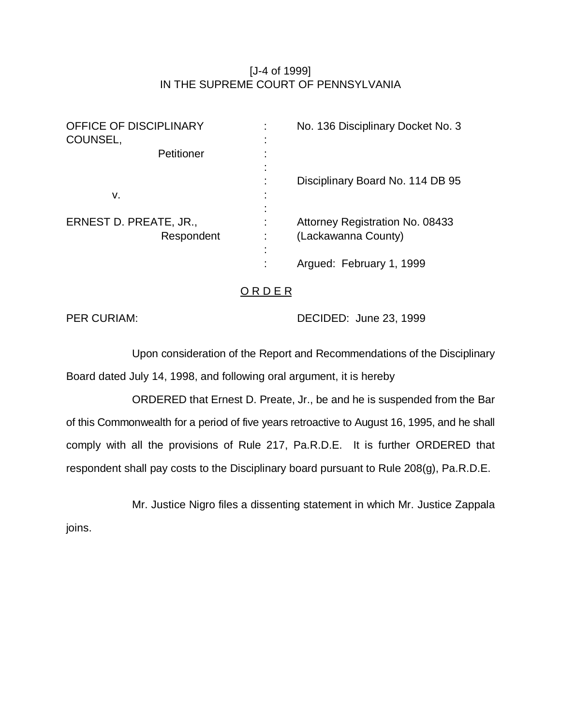# [J-4 of 1999] IN THE SUPREME COURT OF PENNSYLVANIA

| <b>OFFICE OF DISCIPLINARY</b><br>COUNSEL, | No. 136 Disciplinary Docket No. 3                      |
|-------------------------------------------|--------------------------------------------------------|
| Petitioner                                |                                                        |
| v.                                        | Disciplinary Board No. 114 DB 95                       |
| ERNEST D. PREATE, JR.,<br>Respondent      | Attorney Registration No. 08433<br>(Lackawanna County) |
|                                           | Argued: February 1, 1999                               |

## O R D E R

PER CURIAM: DECIDED: June 23, 1999

Upon consideration of the Report and Recommendations of the Disciplinary Board dated July 14, 1998, and following oral argument, it is hereby

ORDERED that Ernest D. Preate, Jr., be and he is suspended from the Bar of this Commonwealth for a period of five years retroactive to August 16, 1995, and he shall comply with all the provisions of Rule 217, Pa.R.D.E. It is further ORDERED that respondent shall pay costs to the Disciplinary board pursuant to Rule 208(g), Pa.R.D.E.

Mr. Justice Nigro files a dissenting statement in which Mr. Justice Zappala

joins.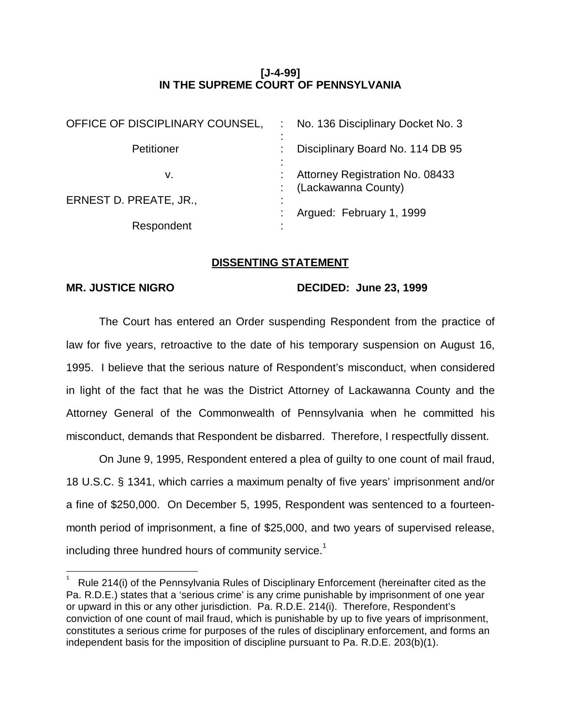### **[J-4-99] IN THE SUPREME COURT OF PENNSYLVANIA**

| OFFICE OF DISCIPLINARY COUNSEL, | : No. 136 Disciplinary Docket No. 3<br>٠                 |
|---------------------------------|----------------------------------------------------------|
| Petitioner                      | Disciplinary Board No. 114 DB 95                         |
| v.                              | Attorney Registration No. 08433<br>: (Lackawanna County) |
| ERNEST D. PREATE, JR.,          |                                                          |
|                                 | Argued: February 1, 1999                                 |
| Respondent                      |                                                          |

#### **DISSENTING STATEMENT**

 $\overline{a}$ 

#### MR. JUSTICE NIGRO DECIDED: June 23, 1999

The Court has entered an Order suspending Respondent from the practice of law for five years, retroactive to the date of his temporary suspension on August 16, 1995. I believe that the serious nature of Respondent's misconduct, when considered in light of the fact that he was the District Attorney of Lackawanna County and the Attorney General of the Commonwealth of Pennsylvania when he committed his misconduct, demands that Respondent be disbarred. Therefore, I respectfully dissent.

On June 9, 1995, Respondent entered a plea of guilty to one count of mail fraud, 18 U.S.C. § 1341, which carries a maximum penalty of five years' imprisonment and/or a fine of \$250,000. On December 5, 1995, Respondent was sentenced to a fourteenmonth period of imprisonment, a fine of \$25,000, and two years of supervised release, including three hundred hours of community service.<sup>1</sup>

<sup>1</sup> Rule 214(i) of the Pennsylvania Rules of Disciplinary Enforcement (hereinafter cited as the Pa. R.D.E.) states that a 'serious crime' is any crime punishable by imprisonment of one year or upward in this or any other jurisdiction. Pa. R.D.E. 214(i). Therefore, Respondent's conviction of one count of mail fraud, which is punishable by up to five years of imprisonment, constitutes a serious crime for purposes of the rules of disciplinary enforcement, and forms an independent basis for the imposition of discipline pursuant to Pa. R.D.E. 203(b)(1).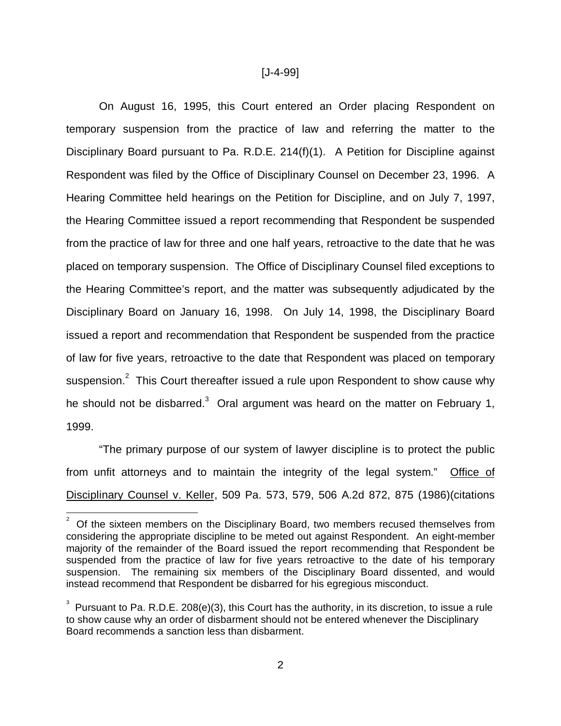#### [J-4-99]

On August 16, 1995, this Court entered an Order placing Respondent on temporary suspension from the practice of law and referring the matter to the Disciplinary Board pursuant to Pa. R.D.E. 214(f)(1). A Petition for Discipline against Respondent was filed by the Office of Disciplinary Counsel on December 23, 1996. A Hearing Committee held hearings on the Petition for Discipline, and on July 7, 1997, the Hearing Committee issued a report recommending that Respondent be suspended from the practice of law for three and one half years, retroactive to the date that he was placed on temporary suspension. The Office of Disciplinary Counsel filed exceptions to the Hearing Committee's report, and the matter was subsequently adjudicated by the Disciplinary Board on January 16, 1998. On July 14, 1998, the Disciplinary Board issued a report and recommendation that Respondent be suspended from the practice of law for five years, retroactive to the date that Respondent was placed on temporary suspension.<sup>2</sup> This Court thereafter issued a rule upon Respondent to show cause why he should not be disbarred.<sup>3</sup> Oral argument was heard on the matter on February 1, 1999.

"The primary purpose of our system of lawyer discipline is to protect the public from unfit attorneys and to maintain the integrity of the legal system." Office of Disciplinary Counsel v. Keller, 509 Pa. 573, 579, 506 A.2d 872, 875 (1986)(citations

 $\overline{a}$ 2 Of the sixteen members on the Disciplinary Board, two members recused themselves from considering the appropriate discipline to be meted out against Respondent. An eight-member majority of the remainder of the Board issued the report recommending that Respondent be suspended from the practice of law for five years retroactive to the date of his temporary suspension. The remaining six members of the Disciplinary Board dissented, and would instead recommend that Respondent be disbarred for his egregious misconduct.

 $3$  Pursuant to Pa. R.D.E. 208(e)(3), this Court has the authority, in its discretion, to issue a rule to show cause why an order of disbarment should not be entered whenever the Disciplinary Board recommends a sanction less than disbarment.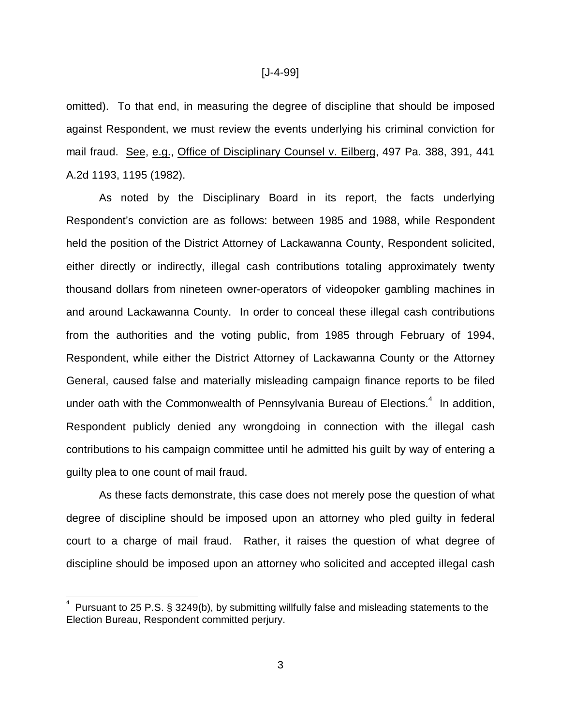omitted). To that end, in measuring the degree of discipline that should be imposed against Respondent, we must review the events underlying his criminal conviction for mail fraud. See, e.g., Office of Disciplinary Counsel v. Eilberg, 497 Pa. 388, 391, 441 A.2d 1193, 1195 (1982).

As noted by the Disciplinary Board in its report, the facts underlying Respondent's conviction are as follows: between 1985 and 1988, while Respondent held the position of the District Attorney of Lackawanna County, Respondent solicited, either directly or indirectly, illegal cash contributions totaling approximately twenty thousand dollars from nineteen owner-operators of videopoker gambling machines in and around Lackawanna County. In order to conceal these illegal cash contributions from the authorities and the voting public, from 1985 through February of 1994, Respondent, while either the District Attorney of Lackawanna County or the Attorney General, caused false and materially misleading campaign finance reports to be filed under oath with the Commonwealth of Pennsylvania Bureau of Elections. $4\,$  In addition, Respondent publicly denied any wrongdoing in connection with the illegal cash contributions to his campaign committee until he admitted his guilt by way of entering a guilty plea to one count of mail fraud.

As these facts demonstrate, this case does not merely pose the question of what degree of discipline should be imposed upon an attorney who pled guilty in federal court to a charge of mail fraud. Rather, it raises the question of what degree of discipline should be imposed upon an attorney who solicited and accepted illegal cash

 $\frac{1}{\sqrt{2}}$ 

<sup>4</sup> Pursuant to 25 P.S. § 3249(b), by submitting willfully false and misleading statements to the Election Bureau, Respondent committed perjury.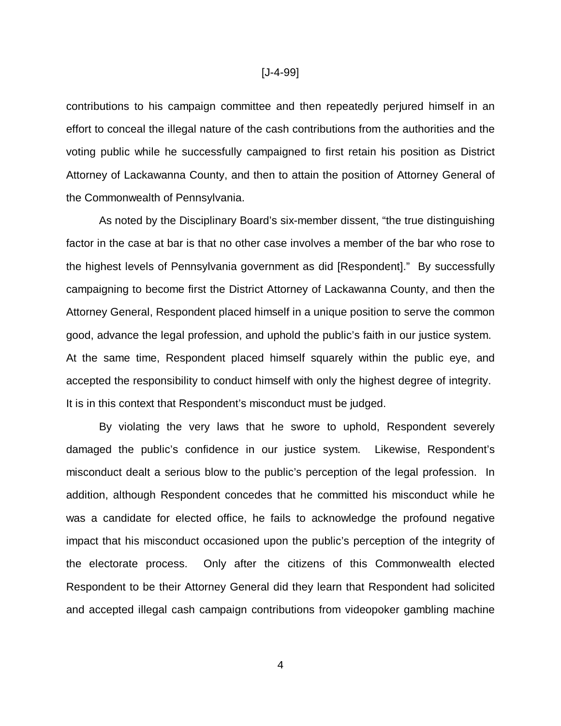contributions to his campaign committee and then repeatedly perjured himself in an effort to conceal the illegal nature of the cash contributions from the authorities and the voting public while he successfully campaigned to first retain his position as District Attorney of Lackawanna County, and then to attain the position of Attorney General of the Commonwealth of Pennsylvania.

As noted by the Disciplinary Board's six-member dissent, "the true distinguishing factor in the case at bar is that no other case involves a member of the bar who rose to the highest levels of Pennsylvania government as did [Respondent]." By successfully campaigning to become first the District Attorney of Lackawanna County, and then the Attorney General, Respondent placed himself in a unique position to serve the common good, advance the legal profession, and uphold the public's faith in our justice system. At the same time, Respondent placed himself squarely within the public eye, and accepted the responsibility to conduct himself with only the highest degree of integrity. It is in this context that Respondent's misconduct must be judged.

By violating the very laws that he swore to uphold, Respondent severely damaged the public's confidence in our justice system. Likewise, Respondent's misconduct dealt a serious blow to the public's perception of the legal profession. In addition, although Respondent concedes that he committed his misconduct while he was a candidate for elected office, he fails to acknowledge the profound negative impact that his misconduct occasioned upon the public's perception of the integrity of the electorate process. Only after the citizens of this Commonwealth elected Respondent to be their Attorney General did they learn that Respondent had solicited and accepted illegal cash campaign contributions from videopoker gambling machine

4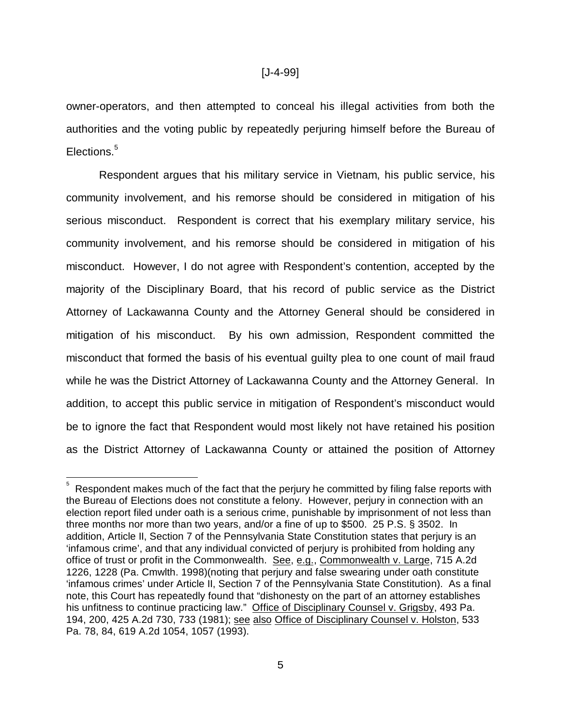owner-operators, and then attempted to conceal his illegal activities from both the authorities and the voting public by repeatedly perjuring himself before the Bureau of Elections.<sup>5</sup>

Respondent argues that his military service in Vietnam, his public service, his community involvement, and his remorse should be considered in mitigation of his serious misconduct. Respondent is correct that his exemplary military service, his community involvement, and his remorse should be considered in mitigation of his misconduct. However, I do not agree with Respondent's contention, accepted by the majority of the Disciplinary Board, that his record of public service as the District Attorney of Lackawanna County and the Attorney General should be considered in mitigation of his misconduct. By his own admission, Respondent committed the misconduct that formed the basis of his eventual guilty plea to one count of mail fraud while he was the District Attorney of Lackawanna County and the Attorney General. In addition, to accept this public service in mitigation of Respondent's misconduct would be to ignore the fact that Respondent would most likely not have retained his position as the District Attorney of Lackawanna County or attained the position of Attorney

 $\frac{1}{2}$ 

<sup>5</sup> Respondent makes much of the fact that the perjury he committed by filing false reports with the Bureau of Elections does not constitute a felony. However, perjury in connection with an election report filed under oath is a serious crime, punishable by imprisonment of not less than three months nor more than two years, and/or a fine of up to \$500. 25 P.S. § 3502. In addition, Article II, Section 7 of the Pennsylvania State Constitution states that perjury is an 'infamous crime', and that any individual convicted of perjury is prohibited from holding any office of trust or profit in the Commonwealth. See, e.g., Commonwealth v. Large, 715 A.2d 1226, 1228 (Pa. Cmwlth. 1998)(noting that perjury and false swearing under oath constitute 'infamous crimes' under Article II, Section 7 of the Pennsylvania State Constitution). As a final note, this Court has repeatedly found that "dishonesty on the part of an attorney establishes his unfitness to continue practicing law." Office of Disciplinary Counsel v. Grigsby, 493 Pa. 194, 200, 425 A.2d 730, 733 (1981); see also Office of Disciplinary Counsel v. Holston, 533 Pa. 78, 84, 619 A.2d 1054, 1057 (1993).